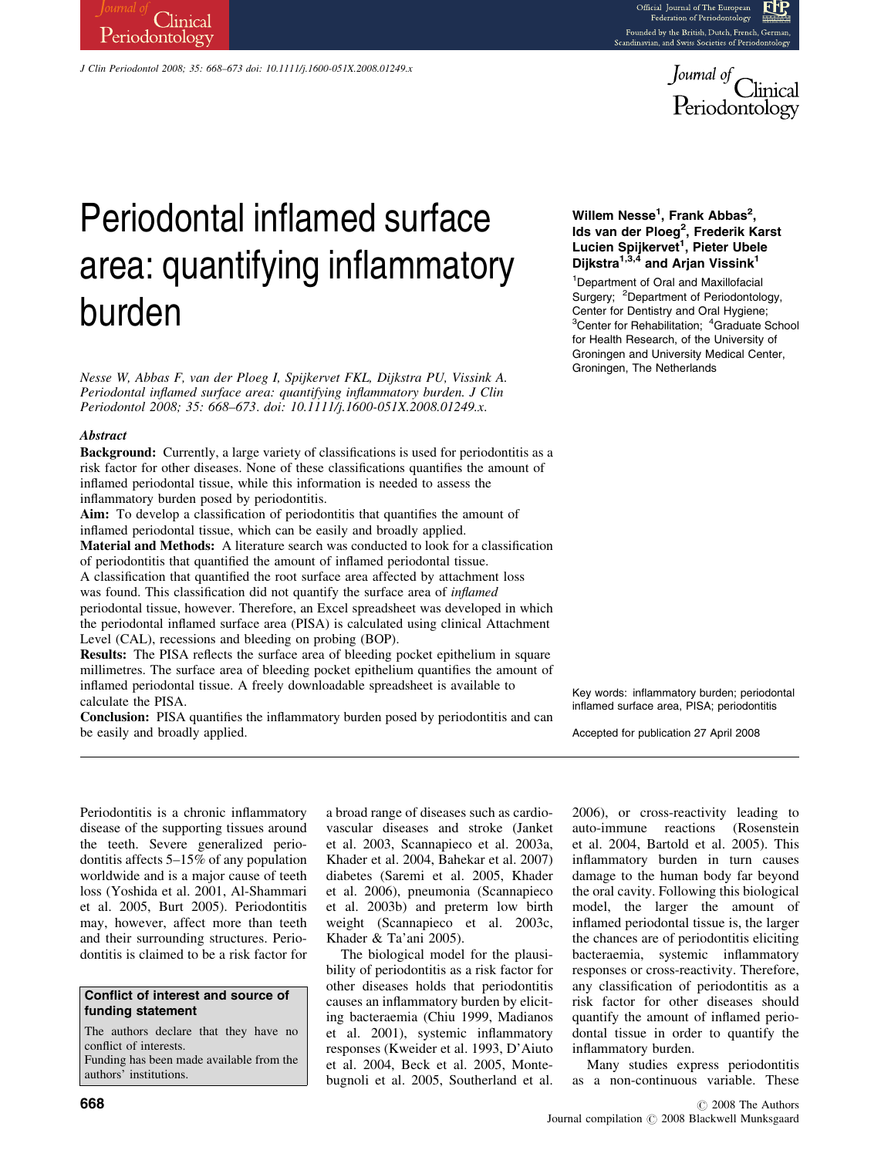

# Periodontal inflamed surface area: quantifying inflammatory burden

J Clin Periodontol 2008; 35: 668–673 doi: 10.1111/j.1600-051X.2008.01249.x

*Clinical* 

Periodontology

Nesse W, Abbas F, van der Ploeg I, Spijkervet FKL, Dijkstra PU, Vissink A. Periodontal inflamed surface area: quantifying inflammatory burden. J Clin Periodontol 2008; 35: 668–673. doi: 10.1111/j.1600-051X.2008.01249.x.

#### **Abstract**

Background: Currently, a large variety of classifications is used for periodontitis as a risk factor for other diseases. None of these classifications quantifies the amount of inflamed periodontal tissue, while this information is needed to assess the inflammatory burden posed by periodontitis.

Aim: To develop a classification of periodontitis that quantifies the amount of inflamed periodontal tissue, which can be easily and broadly applied.

Material and Methods: A literature search was conducted to look for a classification of periodontitis that quantified the amount of inflamed periodontal tissue.

A classification that quantified the root surface area affected by attachment loss was found. This classification did not quantify the surface area of inflamed periodontal tissue, however. Therefore, an Excel spreadsheet was developed in which the periodontal inflamed surface area (PISA) is calculated using clinical Attachment Level (CAL), recessions and bleeding on probing (BOP).

Results: The PISA reflects the surface area of bleeding pocket epithelium in square millimetres. The surface area of bleeding pocket epithelium quantifies the amount of inflamed periodontal tissue. A freely downloadable spreadsheet is available to calculate the PISA.

Conclusion: PISA quantifies the inflammatory burden posed by periodontitis and can be easily and broadly applied.

# Willem Nesse<sup>1</sup>, Frank Abbas<sup>2</sup>, Ids van der Ploeg<sup>2</sup>, Frederik Karst Lucien Spijkervet<sup>1</sup>, Pieter Ubele Dijkstra<sup>1,3,4</sup> and Arjan Vissink<sup>1</sup>

1 Department of Oral and Maxillofacial Surgery; <sup>2</sup>Department of Periodontology, Center for Dentistry and Oral Hygiene; <sup>3</sup> Center for Rehabilitation; <sup>4</sup> Graduate School for Health Research, of the University of Groningen and University Medical Center, Groningen, The Netherlands

Key words: inflammatory burden; periodontal inflamed surface area, PISA; periodontitis

Accepted for publication 27 April 2008

Periodontitis is a chronic inflammatory disease of the supporting tissues around the teeth. Severe generalized periodontitis affects 5–15% of any population worldwide and is a major cause of teeth loss (Yoshida et al. 2001, Al-Shammari et al. 2005, Burt 2005). Periodontitis may, however, affect more than teeth and their surrounding structures. Periodontitis is claimed to be a risk factor for

## Conflict of interest and source of funding statement

The authors declare that they have no conflict of interests. Funding has been made available from the authors' institutions.

a broad range of diseases such as cardiovascular diseases and stroke (Janket et al. 2003, Scannapieco et al. 2003a, Khader et al. 2004, Bahekar et al. 2007) diabetes (Saremi et al. 2005, Khader et al. 2006), pneumonia (Scannapieco et al. 2003b) and preterm low birth weight (Scannapieco et al. 2003c, Khader & Ta'ani 2005).

The biological model for the plausibility of periodontitis as a risk factor for other diseases holds that periodontitis causes an inflammatory burden by eliciting bacteraemia (Chiu 1999, Madianos et al. 2001), systemic inflammatory responses (Kweider et al. 1993, D'Aiuto et al. 2004, Beck et al. 2005, Montebugnoli et al. 2005, Southerland et al. 2006), or cross-reactivity leading to auto-immune reactions (Rosenstein et al. 2004, Bartold et al. 2005). This inflammatory burden in turn causes damage to the human body far beyond the oral cavity. Following this biological model, the larger the amount of inflamed periodontal tissue is, the larger the chances are of periodontitis eliciting bacteraemia, systemic inflammatory responses or cross-reactivity. Therefore, any classification of periodontitis as a risk factor for other diseases should quantify the amount of inflamed periodontal tissue in order to quantify the inflammatory burden.

Many studies express periodontitis as a non-continuous variable. These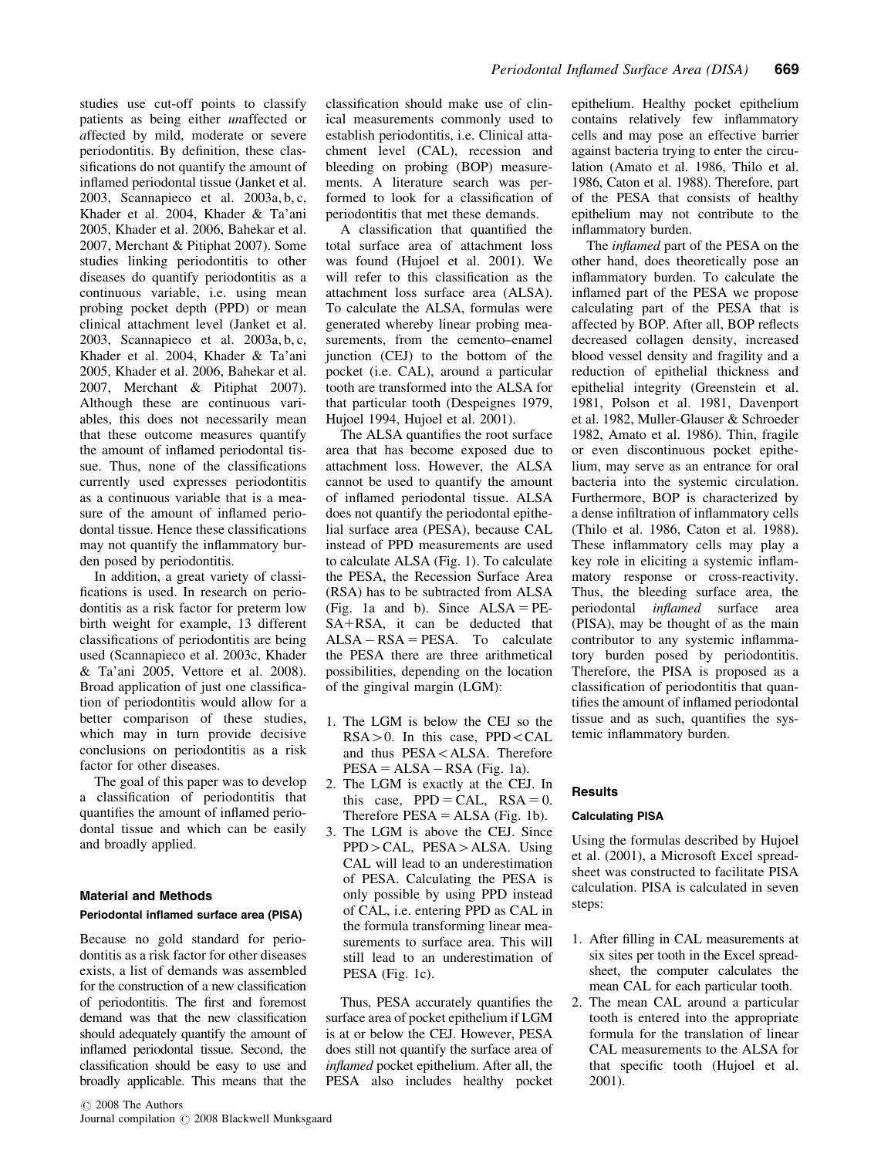studies use cut-off points to classify patients as being either unaffected or affected by mild, moderate or severe periodontitis. By definition, these classifications do not quantify the amount of inflamed periodontal tissue (Janket et al. 2003, Scannapieco et al. 2003a, b, c, Khader et al. 2004, Khader & Ta'ani 2005, Khader et al. 2006, Bahekar et al. 2007, Merchant & Pitiphat 2007). Some studies linking periodontitis to other diseases do quantify periodontitis as a continuous variable, i.e. using mean probing pocket depth (PPD) or mean clinical attachment level (Janket et al. 2003, Scannapieco et al. 2003a, b, c, Khader et al. 2004, Khader & Ta'ani 2005, Khader et al. 2006, Bahekar et al. 2007, Merchant & Pitiphat 2007). Although these are continuous variables, this does not necessarily mean that these outcome measures quantify the amount of inflamed periodontal tissue. Thus, none of the classifications currently used expresses periodontitis as a continuous variable that is a measure of the amount of inflamed periodontal tissue. Hence these classifications may not quantify the inflammatory burden posed by periodontitis.

In addition, a great variety of classifications is used. In research on periodontitis as a risk factor for preterm low birth weight for example, 13 different classifications of periodontitis are being used (Scannapieco et al. 2003c, Khader & Ta'ani 2005, Vettore et al. 2008). Broad application of just one classification of periodontitis would allow for a better comparison of these studies, which may in turn provide decisive conclusions on periodontitis as a risk factor for other diseases.

The goal of this paper was to develop a classification of periodontitis that quantifies the amount of inflamed periodontal tissue and which can be easily and broadly applied.

# Material and Methods Periodontal inflamed surface area (PISA)

Because no gold standard for periodontitis as a risk factor for other diseases exists, a list of demands was assembled for the construction of a new classification of periodontitis. The first and foremost demand was that the new classification should adequately quantify the amount of inflamed periodontal tissue. Second, the classification should be easy to use and broadly applicable. This means that the

classification should make use of clinical measurements commonly used to establish periodontitis, i.e. Clinical attachment level (CAL), recession and bleeding on probing (BOP) measurements. A literature search was performed to look for a classification of periodontitis that met these demands.

A classification that quantified the total surface area of attachment loss was found (Hujoel et al. 2001). We will refer to this classification as the attachment loss surface area (ALSA). To calculate the ALSA, formulas were generated whereby linear probing measurements, from the cemento–enamel junction (CEJ) to the bottom of the pocket (i.e. CAL), around a particular tooth are transformed into the ALSA for that particular tooth (Despeignes 1979, Hujoel 1994, Hujoel et al. 2001).

The ALSA quantifies the root surface area that has become exposed due to attachment loss. However, the ALSA cannot be used to quantify the amount of inflamed periodontal tissue. ALSA does not quantify the periodontal epithelial surface area (PESA), because CAL instead of PPD measurements are used to calculate ALSA (Fig. 1). To calculate the PESA, the Recession Surface Area (RSA) has to be subtracted from ALSA (Fig. 1a and b). Since  $ALSA = PE$ - $SA + RSA$ , it can be deducted that  $ALSA - RSA = PESA$ . To calculate the PESA there are three arithmetical possibilities, depending on the location of the gingival margin (LGM):

- 1. The LGM is below the CEJ so the  $RSA > 0$ . In this case,  $PPD < CAL$ and thus  $PESA < ALSA$ . Therefore  $PESA = ALSA - RSA$  (Fig. 1a).
- 2. The LGM is exactly at the CEJ. In this case,  $PPD = CAL$ ,  $RSA = 0$ . Therefore  $PESA = ALSA$  (Fig. 1b).
- 3. The LGM is above the CEJ. Since  $PPD > CAL, PESA > ALSA$ . Using CAL will lead to an underestimation of PESA. Calculating the PESA is only possible by using PPD instead of CAL, i.e. entering PPD as CAL in the formula transforming linear measurements to surface area. This will still lead to an underestimation of PESA (Fig. 1c).

Thus, PESA accurately quantifies the surface area of pocket epithelium if LGM is at or below the CEJ. However, PESA does still not quantify the surface area of inflamed pocket epithelium. After all, the PESA also includes healthy pocket

epithelium. Healthy pocket epithelium contains relatively few inflammatory cells and may pose an effective barrier against bacteria trying to enter the circulation (Amato et al. 1986, Thilo et al. 1986, Caton et al. 1988). Therefore, part of the PESA that consists of healthy epithelium may not contribute to the inflammatory burden.

The inflamed part of the PESA on the other hand, does theoretically pose an inflammatory burden. To calculate the inflamed part of the PESA we propose calculating part of the PESA that is affected by BOP. After all, BOP reflects decreased collagen density, increased blood vessel density and fragility and a reduction of epithelial thickness and epithelial integrity (Greenstein et al. 1981, Polson et al. 1981, Davenport et al. 1982, Muller-Glauser & Schroeder 1982, Amato et al. 1986). Thin, fragile or even discontinuous pocket epithelium, may serve as an entrance for oral bacteria into the systemic circulation. Furthermore, BOP is characterized by a dense infiltration of inflammatory cells (Thilo et al. 1986, Caton et al. 1988). These inflammatory cells may play a key role in eliciting a systemic inflammatory response or cross-reactivity. Thus, the bleeding surface area, the periodontal inflamed surface area (PISA), may be thought of as the main contributor to any systemic inflammatory burden posed by periodontitis. Therefore, the PISA is proposed as a classification of periodontitis that quantifies the amount of inflamed periodontal tissue and as such, quantifies the systemic inflammatory burden.

#### **Results**

#### Calculating PISA

Using the formulas described by Hujoel et al. (2001), a Microsoft Excel spreadsheet was constructed to facilitate PISA calculation. PISA is calculated in seven steps:

- 1. After filling in CAL measurements at six sites per tooth in the Excel spreadsheet, the computer calculates the mean CAL for each particular tooth.
- 2. The mean CAL around a particular tooth is entered into the appropriate formula for the translation of linear CAL measurements to the ALSA for that specific tooth (Hujoel et al. 2001).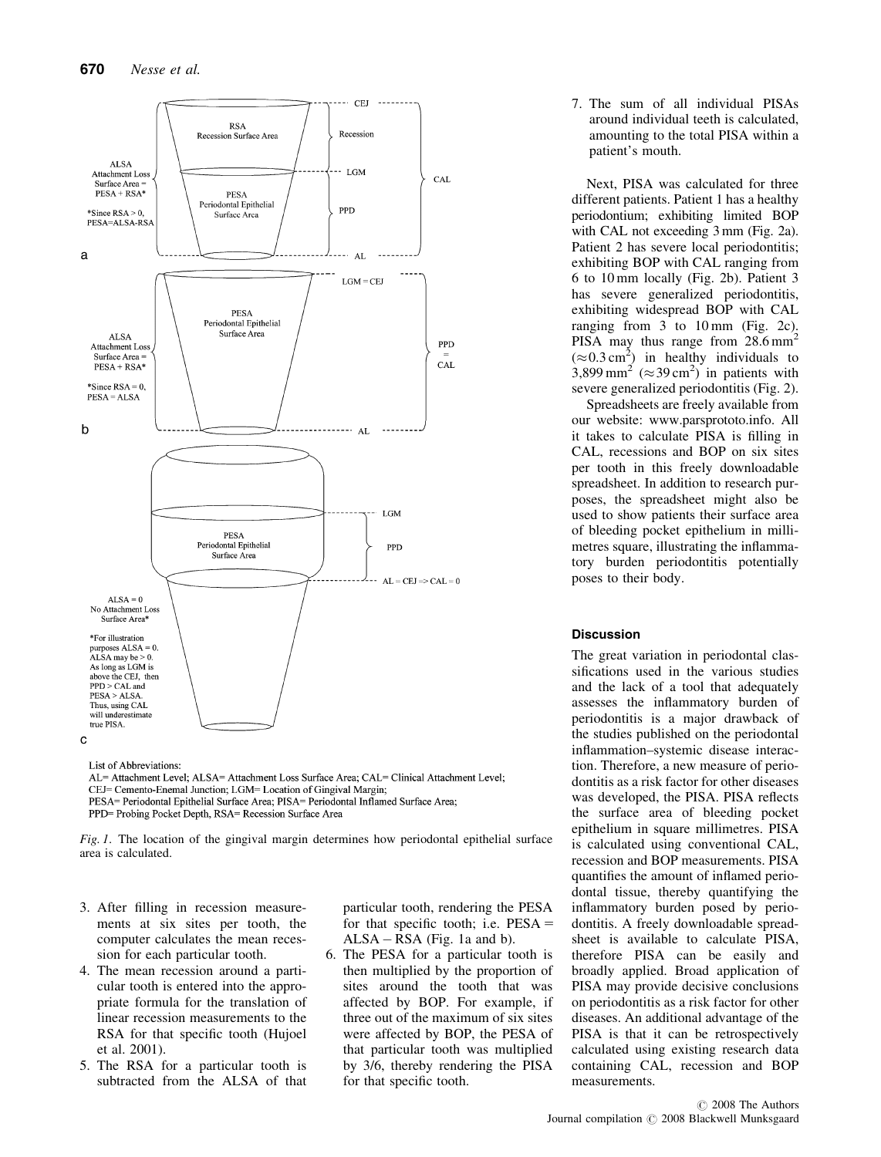

AL= Attachment Level; ALSA= Attachment Loss Surface Area; CAL= Clinical Attachment Level; CEJ= Cemento-Enemal Junction; LGM= Location of Gingival Margin; PESA= Periodontal Epithelial Surface Area; PISA= Periodontal Inflamed Surface Area; PPD= Probing Pocket Depth, RSA= Recession Surface Area

Fig. 1. The location of the gingival margin determines how periodontal epithelial surface area is calculated.

- 3. After filling in recession measurements at six sites per tooth, the computer calculates the mean recession for each particular tooth.
- 4. The mean recession around a particular tooth is entered into the appropriate formula for the translation of linear recession measurements to the RSA for that specific tooth (Hujoel et al. 2001).
- 5. The RSA for a particular tooth is subtracted from the ALSA of that

particular tooth, rendering the PESA for that specific tooth; i.e.  $PESA =$ ALSA - RSA (Fig. 1a and b).

6. The PESA for a particular tooth is then multiplied by the proportion of sites around the tooth that was affected by BOP. For example, if three out of the maximum of six sites were affected by BOP, the PESA of that particular tooth was multiplied by 3/6, thereby rendering the PISA for that specific tooth.

7. The sum of all individual PISAs around individual teeth is calculated, amounting to the total PISA within a patient's mouth.

Next, PISA was calculated for three different patients. Patient 1 has a healthy periodontium; exhibiting limited BOP with CAL not exceeding 3 mm (Fig. 2a). Patient 2 has severe local periodontitis; exhibiting BOP with CAL ranging from 6 to 10 mm locally (Fig. 2b). Patient 3 has severe generalized periodontitis, exhibiting widespread BOP with CAL ranging from 3 to 10 mm (Fig. 2c). PISA may thus range from 28.6 mm<sup>2</sup>  $(\approx 0.3 \text{ cm}^2)$  in healthy individuals to 3,899 mm<sup>2</sup> ( $\approx$  39 cm<sup>2</sup>) in patients with severe generalized periodontitis (Fig. 2).

Spreadsheets are freely available from our website: www.parsprototo.info. All it takes to calculate PISA is filling in CAL, recessions and BOP on six sites per tooth in this freely downloadable spreadsheet. In addition to research purposes, the spreadsheet might also be used to show patients their surface area of bleeding pocket epithelium in millimetres square, illustrating the inflammatory burden periodontitis potentially poses to their body.

## **Discussion**

The great variation in periodontal classifications used in the various studies and the lack of a tool that adequately assesses the inflammatory burden of periodontitis is a major drawback of the studies published on the periodontal inflammation–systemic disease interaction. Therefore, a new measure of periodontitis as a risk factor for other diseases was developed, the PISA. PISA reflects the surface area of bleeding pocket epithelium in square millimetres. PISA is calculated using conventional CAL, recession and BOP measurements. PISA quantifies the amount of inflamed periodontal tissue, thereby quantifying the inflammatory burden posed by periodontitis. A freely downloadable spreadsheet is available to calculate PISA, therefore PISA can be easily and broadly applied. Broad application of PISA may provide decisive conclusions on periodontitis as a risk factor for other diseases. An additional advantage of the PISA is that it can be retrospectively calculated using existing research data containing CAL, recession and BOP measurements.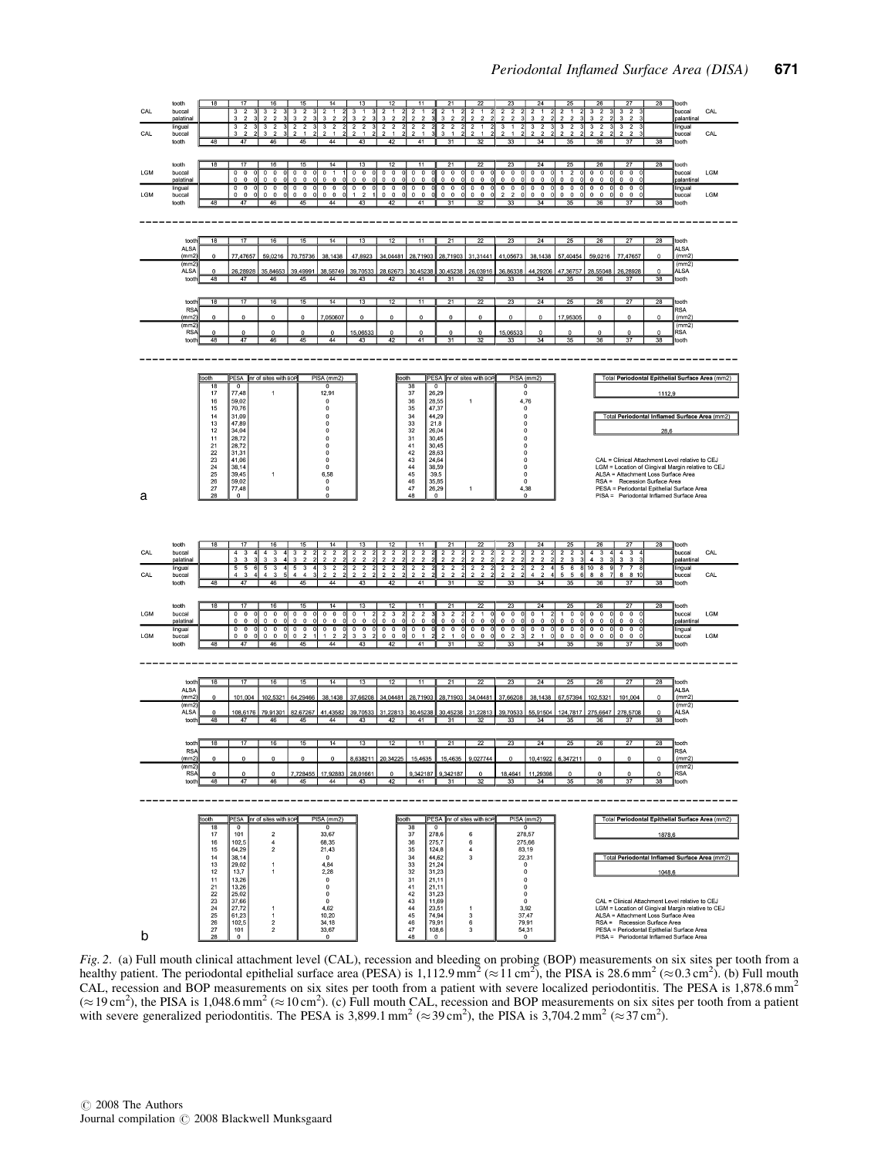| CAL<br>CAL | tooth<br>buccal<br>palatinal<br>lingual<br>buccal<br>tooth     | 18<br>48                                                                                                                                                                                                                                                                                                                                                                                                                                                                        | 17<br>3<br>$\overline{2}$<br>$\overline{3}$<br>3<br>$\overline{\mathbf{2}}$<br>$\boldsymbol{2}$<br>3<br>47                                                | 16<br>$\overline{2}$<br>3<br>$\overline{a}$<br>$\overline{2}$<br>3<br>2<br>3<br>$\mathbf{3}$<br>$\overline{\mathbf{2}}$<br>$\overline{2}$<br>3<br>46      | $\overline{15}$<br>$\overline{2}$<br>3<br>$\overline{2}$<br>$\overline{2}$<br>$\overline{2}$<br>$\boldsymbol{2}$<br>$\overline{1}$<br>45                                      | 14<br>2<br>$\overline{1}$<br>$\overline{2}$<br>3<br>$\mathbf 2$<br>$\overline{1}$<br><sup>2</sup><br>44                                                                   | 13<br>з<br>1<br>$\overline{2}$<br>$\overline{2}$<br>3<br>$\overline{\mathbf{2}}$<br>$\mathbf{1}$<br>$\overline{\mathbf{2}}$<br>43                                                                   | 12<br>2<br>1<br>$\overline{\mathbf{c}}$<br>2<br>$\overline{\mathbf{2}}$<br>$\overline{1}$<br>42                                                                                                                                                                      | 11<br>2<br>1<br>$\overline{a}$<br>$\frac{2}{2}$<br>$\overline{2}$<br>$\overline{2}$<br>$\mathbf{1}$<br>41                                        | 21<br>2<br>3<br>$\overline{\mathbf{c}}$<br>$\mathbf 3$                                                                                                    | 2<br>$\overline{1}$<br>$\overline{2}$<br>2<br>2<br>$\frac{2}{2}$<br>$\mathbf 2$<br>$\overline{1}$<br>$\overline{31}$                                                      | 22<br>$\overline{1}$<br>$\frac{2}{2}$<br>$\overline{2}$<br>$\overline{2}$<br>$\overline{1}$<br>32                                                                                                                   | 23<br>$\overline{2}$<br>2<br>$\overline{c}$<br>$\overline{2}$<br>3<br>1<br>$\overline{\mathbf{2}}$<br>$\overline{1}$<br>$\overline{2}$<br>$\overline{33}$  | 24<br>2<br>$\overline{3}$<br>3<br>$\overline{2}$<br>$\overline{\mathbf{c}}$<br>$\overline{2}$<br>34                                                                                                                                         | 25<br>$\frac{2}{2}$<br>1<br>3<br>$\overline{\mathbf{2}}$<br>$\overline{\mathbf{2}}$<br>$\overline{\mathbf{2}}$<br>$\overline{2}$<br>35                                                            | 26<br>$\overline{2}$<br>3<br>3<br>3<br>$\overline{\mathbf{c}}$<br>$\overline{\mathbf{2}}$<br>$\boldsymbol{2}$<br>36                                                                                                                                                                                                                                                                           | $\overline{27}$<br>$\overline{2}$<br>3<br>3<br>$\overline{a}$<br>3<br>$\overline{2}$<br>$\overline{\mathbf{2}}$<br>$\overline{2}$<br>37                         | 28<br>38                                                                                                                                                                                                                                                                                                                                                                                    | <b>Iltooth</b><br>buccal<br>palantinal<br>lingual<br>buccal<br>tooth | CAL<br>CAL |
|------------|----------------------------------------------------------------|---------------------------------------------------------------------------------------------------------------------------------------------------------------------------------------------------------------------------------------------------------------------------------------------------------------------------------------------------------------------------------------------------------------------------------------------------------------------------------|-----------------------------------------------------------------------------------------------------------------------------------------------------------|-----------------------------------------------------------------------------------------------------------------------------------------------------------|-------------------------------------------------------------------------------------------------------------------------------------------------------------------------------|---------------------------------------------------------------------------------------------------------------------------------------------------------------------------|-----------------------------------------------------------------------------------------------------------------------------------------------------------------------------------------------------|----------------------------------------------------------------------------------------------------------------------------------------------------------------------------------------------------------------------------------------------------------------------|--------------------------------------------------------------------------------------------------------------------------------------------------|-----------------------------------------------------------------------------------------------------------------------------------------------------------|---------------------------------------------------------------------------------------------------------------------------------------------------------------------------|---------------------------------------------------------------------------------------------------------------------------------------------------------------------------------------------------------------------|------------------------------------------------------------------------------------------------------------------------------------------------------------|---------------------------------------------------------------------------------------------------------------------------------------------------------------------------------------------------------------------------------------------|---------------------------------------------------------------------------------------------------------------------------------------------------------------------------------------------------|-----------------------------------------------------------------------------------------------------------------------------------------------------------------------------------------------------------------------------------------------------------------------------------------------------------------------------------------------------------------------------------------------|-----------------------------------------------------------------------------------------------------------------------------------------------------------------|---------------------------------------------------------------------------------------------------------------------------------------------------------------------------------------------------------------------------------------------------------------------------------------------------------------------------------------------------------------------------------------------|----------------------------------------------------------------------|------------|
| LGM<br>LGM | tooth<br>buccal<br>palatinal<br>lingual<br>buccal<br>tooth     | $\overline{18}$<br>48                                                                                                                                                                                                                                                                                                                                                                                                                                                           | 17<br>$\overline{\mathbf{0}}$<br>0<br>$\Omega$<br>$\overline{\mathbf{0}}$<br>$\mathbf{0}$<br>$\Omega$<br>$0\quad 0$<br>47                                 | 16<br>$\circ$<br>0<br>$\Omega$<br>$\mathbf 0$<br>$\mathbf 0$<br>$^{\circ}$<br>$\overline{0}$<br>0<br>0<br>-ol<br>$\Omega$<br>$^{\circ}$<br>$\theta$<br>46 | 15<br>0<br>0<br>$\Omega$<br>$\mathbf{0}$<br>$\overline{0}$<br>$\overline{0}$<br>0<br>$0\quad 0\quad 0$<br>45                                                                  | 14<br>$\overline{1}$<br>0<br>$\Omega$<br>$\ddot{\phantom{0}}$<br>Λ<br>$\overline{0}$<br>$\overline{0}$<br>0<br>$0\quad 0$<br>$\Omega$<br>44                               | 13<br>0<br>o<br>0<br>$\mathsf{o}\xspace$<br>$\overline{\mathbf{0}}$<br>$\mathbf 0$<br>$\overline{\mathbf{0}}$<br>$\overline{\mathbf{0}}$<br>$\frac{0}{1}$<br>$\overline{1}$<br>$\overline{2}$<br>43 | 12<br>0<br>0<br>$\mathbf 0$<br>$\mathbf 0$<br>$\overline{\mathbf{0}}$<br>$\overline{0}$<br>$\overline{\mathbf{0}}$<br>$\mathbf 0$<br>$\overline{0}$<br>42                                                                                                            | 11<br>0<br>o<br>0<br>$\mathbf 0$<br>$\overline{\phantom{0}}$<br>$\overline{0}$<br>$\overline{\mathfrak{o}}$<br>$\Omega$<br>olo o<br>41           | 21<br>0<br>$\pmb{0}$<br>$\begin{matrix} 0 & 0 \\ 0 & 0 \end{matrix}$<br>- ol                                                                              | $\mathbf 0$<br>0<br>n<br>$\overline{0}$<br>$\overline{0}$<br>$\mathbf 0$<br>o o<br>31                                                                                     | 22<br>$\overline{0}$<br>$\overline{\phantom{0}}$<br>$\Omega$<br>0 <sub>0</sub><br>$0\quad 0\quad 0$<br>32                                                                                                           | 23<br>$\mathbf 0$<br>0<br>$\mathbf 0$<br>$\overline{0}$<br>$\Omega$<br>$\frac{0}{2}$<br>$\overline{0}$<br><sup>0</sup><br>$\overline{2}$<br>$\Omega$<br>33 | 24<br>$\overline{0}$<br>0<br>$\circ$<br>$^{\circ}$<br>$\Omega$<br>$\begin{matrix} 0 & 0 \\ 0 & 0 \end{matrix}$<br>$\frac{1}{\sqrt{2}}$<br>34                                                                                                | 25<br>$\overline{\mathbf{c}}$<br>1<br>$\mathbf 0$<br>$\mathbf 0$<br>$\Omega$<br>$\overline{\mathfrak{o}}$<br>$\overline{0}$<br>$\Omega$<br>$\mathbf{0}$<br>$\overline{0}$<br>$\overline{0}$<br>35 | 26<br>$\bf{0}$<br>0<br>$\mathbf{0}$<br>$\ddot{\phantom{0}}$<br>$\overline{0}$<br>$\overline{0}$<br>0 <sub>0</sub><br>36                                                                                                                                                                                                                                                                       | 27<br>$\overline{0}$<br>0<br>$\circ$<br>$\overline{\mathbf{0}}$<br>$\Omega$<br>$\overline{0}$<br>$\overline{0}$<br>0<br>- ol<br>$\circ$<br>0 <sub>0</sub><br>37 | 28<br>38                                                                                                                                                                                                                                                                                                                                                                                    | tooth<br>buccal<br>alantinal<br>lingual<br>buccal<br>tooth           | LGM<br>LGM |
|            | tooth<br><b>ALSA</b><br>(mm2)<br>(mm2)<br><b>ALSA</b><br>tooth | $\overline{18}$<br>$\theta$<br>48                                                                                                                                                                                                                                                                                                                                                                                                                                               | $\overline{17}$<br>77,47657<br>26,28928<br>47                                                                                                             | $\overline{16}$<br>59,0216<br>35,84653<br>46                                                                                                              | $\overline{15}$<br>70,75736<br>39,49991<br>45                                                                                                                                 | $\overline{14}$<br>38,1438<br>38,58749<br>44                                                                                                                              | $\overline{13}$<br>47,8923<br>39,70533<br>43                                                                                                                                                        | $\overline{12}$<br>34,04481<br>28,62673<br>42                                                                                                                                                                                                                        | 11<br>28,71903<br>30,45238<br>41                                                                                                                 |                                                                                                                                                           | $\overline{21}$<br>28,71903<br>30,45238<br>31                                                                                                                             | $\overline{22}$<br>31,31441<br>26,03916<br>32                                                                                                                                                                       | $\overline{23}$<br>41,05673<br>36,86338<br>33                                                                                                              | $\overline{24}$<br>38,1438<br>44,29206<br>34                                                                                                                                                                                                | $\overline{25}$<br>57,40454<br>47,36757<br>35                                                                                                                                                     | 26<br>59,0216<br>28,55048<br>36                                                                                                                                                                                                                                                                                                                                                               | $\overline{27}$<br>77,47657<br>26,28928<br>37                                                                                                                   | $\overline{28}$<br>$\theta$<br>$\overline{38}$                                                                                                                                                                                                                                                                                                                                              | Itooth<br>ALSA<br>(mm2)<br>(mm2)<br>ALSA<br>tooth                    |            |
|            | tooth<br>RS/<br>(mm2)<br>(mm2)<br><b>RSA</b><br>tooth          | $\overline{18}$<br>$\Omega$<br>48                                                                                                                                                                                                                                                                                                                                                                                                                                               | 17<br>$\mathbf 0$<br>$\Omega$<br>47                                                                                                                       | $\overline{16}$<br>$\mathbf 0$<br>$\Omega$<br>46                                                                                                          | 15<br>$\mathbf 0$<br>$\Omega$<br>45                                                                                                                                           | 14<br>7,050607<br>n<br>44                                                                                                                                                 | 13<br>$\mathbf 0$<br>15,06533<br>43                                                                                                                                                                 | 12<br>$\Omega$<br>$\Omega$<br>42                                                                                                                                                                                                                                     | 11<br>$\circ$<br>$\Omega$<br>41                                                                                                                  |                                                                                                                                                           | $\overline{21}$<br>$\Omega$<br>$\Omega$<br>31                                                                                                                             | $\overline{22}$<br>$\bf{0}$<br>$\Omega$<br>32                                                                                                                                                                       | 23<br>$\bf{0}$<br>15,06533<br>33                                                                                                                           | $\overline{24}$<br>$\Omega$<br>$\Omega$<br>34                                                                                                                                                                                               | 25<br>17,95305<br>$\Omega$<br>35                                                                                                                                                                  | 26<br>$\Omega$<br>$\Omega$<br>36                                                                                                                                                                                                                                                                                                                                                              | 27<br>$\mathbf 0$<br>$\Omega$<br>37                                                                                                                             | 28<br>$\mathbf 0$<br>$\Omega$<br>38                                                                                                                                                                                                                                                                                                                                                         | tooth<br><b>RSA</b><br>(mm2)<br>(mm2)<br>RSA<br>tooth                |            |
| а          |                                                                | tooth<br>18<br>17<br>16<br>15<br>14<br>13<br>12<br>11<br>21<br>22<br>23<br>24<br>25<br>26<br>$27\,$<br>28                                                                                                                                                                                                                                                                                                                                                                       | $\mathbf{o}$<br>77,48<br>59,02<br>70,76<br>31.09<br>47,89<br>34,04<br>28,72<br>28,72<br>31,31<br>41,06<br>38.14<br>39,45<br>59,02<br>77,48<br>$\mathbf 0$ | PESA nr of sites with BOP<br>$\overline{1}$<br>$\overline{1}$                                                                                             |                                                                                                                                                                               | PISA (mm2)<br>$\overline{0}$<br>12,91<br>0<br>0<br>$\mathbf 0$<br>$^{\circ}$<br>$\mathbf 0$<br>$\mathbf 0$<br>0<br>0<br>0<br>$\mathbf 0$<br>6,58<br>$\bf{0}$<br>$\pmb{0}$ |                                                                                                                                                                                                     |                                                                                                                                                                                                                                                                      | tooth<br>38<br>37<br>36<br>35<br>34<br>33<br>32<br>31<br>41<br>42<br>43<br>44<br>45<br>46<br>47<br>48                                            | $\overline{0}$<br>26,29<br>28,55<br>47,37<br>44.29<br>21,8<br>26,04<br>30.45<br>30,45<br>28,63<br>24,64<br>38.59<br>39.5<br>35,85<br>26,29<br>$\mathbf 0$ | PESA nr of sites with BOP<br>1<br>$\mathbf 1$                                                                                                                             |                                                                                                                                                                                                                     |                                                                                                                                                            | PISA (mm2)<br>$\overline{\mathbf{0}}$<br>$\pmb{0}$<br>4,76<br>0<br>$\mathbf{0}$<br>$^{\circ}$<br>$\circ$<br>$\mathbf 0$<br>$^{\circ}$<br>$\pmb{0}$<br>$\pmb{0}$<br>$\mathbf 0$<br>$\ddot{\phantom{0}}$<br>$^{\circ}$<br>4,38<br>$\mathbf 0$ |                                                                                                                                                                                                   |                                                                                                                                                                                                                                                                                                                                                                                               |                                                                                                                                                                 | Total Periodontal Epithelial Surface Area (mm2)<br>1112,9<br>Total Periodontal Inflamed Surface Area (mm2)<br>28,6<br>CAL = Clinical Attachment Level relative to CEJ<br>LGM = Location of Gingival Margin relative to CEJ<br>ALSA = Attachment Loss Surface Area<br>RSA = Recession Surface Area<br>PESA = Periodontal Epithelial Surface Area<br>PISA = Periodontal Inflamed Surface Area |                                                                      |            |
| CAL<br>CAL | tooth<br>buccal<br>palatinal<br>lingual<br>buccal<br>tooth     | $\overline{18}$<br>$\overline{AB}$                                                                                                                                                                                                                                                                                                                                                                                                                                              | 17<br>3<br>3<br>3<br>5<br>5<br>$\overline{4}$<br>3<br>47                                                                                                  | 16<br>з<br>$\overline{\mathbf{3}}$<br>$\overline{\mathbf{3}}$<br>5<br>3<br>$\overline{4}$<br>3<br>46                                                      | 15<br>$\overline{2}$<br>з<br>$\mathbf 3$<br>$\sqrt{2}$<br>5<br>3<br>$\overline{4}$<br>$\overline{4}$<br>45                                                                    | 14<br>$\overline{2}$<br>$\frac{2}{2}$<br>$\boldsymbol{2}$<br>$\mathbf{z}$<br>$\overline{2}$<br>3<br>$\frac{2}{2}$<br>$\overline{\mathbf{2}}$<br>44                        | 13<br>$\overline{2}$<br>$\frac{2}{2}$<br>$\mathbf 2$<br>$\overline{a}$<br>$\overline{2}$<br>2<br>$\overline{2}$<br>$\overline{2}$<br>43                                                             | 12<br>2<br>2<br>$\overline{a}$<br>$\mathbf 2$<br>$\overline{2}$<br>2<br>$\overline{2}$<br>$\mathbf 2$<br>42                                                                                                                                                          | 11<br>$\overline{2}$<br>$\frac{2}{2}$<br>$\mathbf 2$<br>$\overline{a}$<br>2<br>$\overline{2}$<br>$\overline{\mathbf{2}}$<br>$\overline{2}$<br>41 | $\frac{2}{2}$<br>2<br>$\mathbf 2$                                                                                                                         | $\overline{21}$<br>$\overline{2}$<br>$\frac{2}{2}$<br>$\sqrt{2}$<br>$\overline{2}$<br>$\overline{2}$<br>2<br>$\overline{\mathbf{2}}$<br>$\overline{a}$<br>$\overline{31}$ | 22<br>$\overline{2}$<br>$\mathbf{2}$<br>$\overline{2}$<br>$\overline{2}$<br>$\overline{\mathbf{2}}$<br>32                                                                                                           | 23<br>2<br>$\frac{2}{2}$<br>$\mathbf 2$<br>$\mathbf{2}$<br>2<br>$\overline{\mathbf{c}}$<br>$\overline{\mathbf{c}}$<br>$\overline{2}$<br>33                 | 24<br>$\overline{2}$<br>$\frac{2}{2}$<br>$\overline{2}$<br>$\overline{\mathbf{c}}$<br>$\overline{\mathbf{c}}$<br>$\overline{4}$<br>$\overline{2}$<br>$\lambda$<br>34                                                                        | 25<br>$\overline{\mathbf{c}}$<br>$\frac{2}{2}$<br>3<br>3<br>5<br>6<br>8<br>5<br>5<br>$6\overline{6}$<br>35                                                                                        | 26<br>3<br>4<br>$\overline{4}$<br>3<br>10<br>8<br>8<br>8<br>36                                                                                                                                                                                                                                                                                                                                | 27<br>3<br>3<br>$\overline{\mathbf{3}}$<br>9<br>$\overline{7}$<br>7<br>8<br>8 10<br>ফ                                                                           | $\overline{28}$<br>$\overline{38}$                                                                                                                                                                                                                                                                                                                                                          | tooth<br>buccal<br>palantinal<br>lingual<br>buccal<br>tooth          | CAL<br>CAL |
| LGM<br>LGM | tooth<br>buccal<br>palatinal<br>lingual<br>buccal<br>tooth     | $\overline{18}$<br>48                                                                                                                                                                                                                                                                                                                                                                                                                                                           | $\overline{0}$<br>0<br>$0\quad 0\quad 0$<br>0<br>$\mathbf 0$<br>$\Omega$<br>$^{\circ}$<br>47                                                              | 16<br>0<br>$\circ$<br>$0 \quad 0 \quad 0$<br>$\overline{0}$<br>$\ddot{\phantom{0}}$<br>$\circ$<br>0<br>$\Omega$<br>$\Omega$<br>$\Omega$<br>$\Omega$<br>46 | 15<br>$\overline{0}$<br>0<br>$0\quad 0$<br>$\Omega$<br>$\overline{\phantom{a}}$<br>0<br>$\overline{2}$<br>$\Omega$<br>$\overline{45}$                                         | 14<br>$\overline{\mathbf{0}}$<br>$\begin{matrix} 0 & 0 & 0 \\ 0 & 0 & 0 \end{matrix}$<br>$\overline{\mathbf{0}}$<br>0<br>이<br>$\overline{2}$<br>44                        | 13<br>$\begin{matrix} 0 & 1 & 2 \\ 0 & 0 & 0 \end{matrix}$<br>$\overline{\mathbf{0}}$<br>$\mathbf 0$<br>$^{\circ}$<br>3<br>3<br>2<br>43                                                             | 3<br>$\begin{array}{c} 2 \\ 0 \end{array}$<br>$\frac{2}{9}$<br>$\overline{\phantom{a}}$<br>$\overline{\mathbf{0}}$<br>$\circ$<br>$\Omega$<br>$\Omega$<br>$\Omega$<br>42                                                                                              | $\frac{2}{\frac{0}{\sqrt{2}}}$<br>$\overline{\mathfrak{o}}$<br>$\overline{0}$<br>$\mathbf{0}$<br>$\Omega$<br>$\overline{1}$                      | 21<br>3<br>$0\quad 0$<br>$\overline{0}$<br>$\mathcal{P}$                                                                                                  | $\overline{2}$<br>$\delta$<br>$\overline{0}$<br>$\overline{\mathbf{0}}$<br>$\circ$<br>$\Omega$<br>$\overline{1}$<br>31                                                    | $\overline{22}$<br>$\begin{array}{cccc} 2 & 1 & 0 \\ 0 & 0 & 0 \end{array}$<br>$\overline{\phantom{0}}$<br>$\theta$<br>$\Omega$<br>$\overline{32}$                                                                  | 23<br>0000<br>$\overline{0}$<br>$\overline{0}$<br>οI<br>$\overline{2}$<br>$\Omega$<br>33                                                                   | 24<br>$\begin{matrix} 0 & 1 \\ 0 & 0 \end{matrix}$<br>$\frac{2}{9}$<br>$\overline{0}$<br>$\mathbf 0$<br>0<br>2<br>$\overline{1}$<br>$\Omega$<br>34                                                                                          | 25<br>0<br>$0\quad 0\quad 0$<br>$\overline{\phantom{a}}$<br>$\overline{\mathfrak{o}}$<br>$^{\circ}$<br>$\Omega$<br>$\Omega$<br>$\Omega$<br>35                                                     | $\overline{0}$<br>0<br>$0\quad 0$<br>$\overline{0}$<br>$\overline{0}$<br>$\Omega$<br>$\mathbf 0$                                                                                                                                                                                                                                                                                              | $\overline{0}$<br>0<br>- ol<br>$0\quad 0\quad 0$<br>$\overline{0}$<br>$\overline{0}$<br>0<br>$\Omega$<br>$\theta$<br>n<br>37                                    | 28<br>38                                                                                                                                                                                                                                                                                                                                                                                    | tooth<br>buccal<br>palantinal<br>lingual<br>buccal<br>tooth          | LGM<br>LGM |
|            | tooth<br><b>ALSA</b><br>(mm2)<br>(mm2)<br><b>ALSA</b><br>tooth | 18<br>$\bf{0}$<br>$\mathbf 0$<br>$\overline{48}$                                                                                                                                                                                                                                                                                                                                                                                                                                | 17<br>101,004<br>108,6176<br>47                                                                                                                           | 16<br>102,5321<br>79,91301<br>46                                                                                                                          | 15<br>64,29466<br>82,67267<br>45                                                                                                                                              | 14<br>38,1438<br>41,43582<br>44                                                                                                                                           | 13<br>37,66208<br>39,70533<br>43                                                                                                                                                                    | 12<br>34,04481<br>31,22813<br>$\overline{42}$                                                                                                                                                                                                                        | 11<br>28,71903<br>30,45238<br>41                                                                                                                 |                                                                                                                                                           | 21<br>28,71903<br>30,45238<br>31                                                                                                                                          | $\overline{22}$<br>34,04481<br>31,22813<br>$\overline{32}$                                                                                                                                                          | <u>23</u><br>37,66208<br>39,7053<br>$\overline{33}$                                                                                                        | 24<br>38,1438<br>55,91504<br>34                                                                                                                                                                                                             | 25<br>67,57394<br>124,7817<br>$\overline{35}$                                                                                                                                                     | 26<br>102,5321<br>275,6647<br>$\overline{36}$                                                                                                                                                                                                                                                                                                                                                 | 27<br>101,004<br>278.5708<br>$\overline{37}$                                                                                                                    | 28<br>$\Omega$<br>$\ddot{\text{o}}$<br>$\overline{38}$                                                                                                                                                                                                                                                                                                                                      | ltooth<br>ALSA<br>(mm2)<br>(mm2)<br>ALSA<br>tooth                    |            |
|            | tooth<br><b>RSA</b><br>(mm2)<br>(mm2)<br><b>RSA</b><br>tooth   | 18<br>48                                                                                                                                                                                                                                                                                                                                                                                                                                                                        | $\overline{17}$<br>$\Omega$<br>47                                                                                                                         | $\overline{16}$<br>$\Omega$<br>46                                                                                                                         | 15<br>7.728455<br>45                                                                                                                                                          | $\overline{14}$<br>17,92883<br>44                                                                                                                                         | 13<br>8.638211 20.34225<br>28,01661<br>43                                                                                                                                                           | 12<br>$\Omega$<br>42                                                                                                                                                                                                                                                 | 11<br>15,4635<br>9,342187<br>41                                                                                                                  |                                                                                                                                                           | 21<br>15.4635 9.027744<br>9.342187<br>31                                                                                                                                  | 22<br>$\Omega$<br>32                                                                                                                                                                                                | 23<br>18.4641<br>33                                                                                                                                        | 24<br>10,41922<br>11,29398<br>34                                                                                                                                                                                                            | 25<br>6,347211<br>O<br>35                                                                                                                                                                         | 26<br>36                                                                                                                                                                                                                                                                                                                                                                                      | $\overline{27}$<br>O<br>37                                                                                                                                      | 28<br>$\Omega$<br>38                                                                                                                                                                                                                                                                                                                                                                        | tooth<br><b>RSA</b><br>(mm2)<br>(mm2)<br>RSA<br>tooth                |            |
| b          |                                                                | tooth<br>PESA nr of sites with BOP<br>18<br>$\Omega$<br>17<br>101<br>$\overline{\mathbf{2}}$<br>16<br>102.5<br>$\overline{4}$<br>15<br>64,29<br>$\overline{\mathbf{c}}$<br>38,14<br>14<br>13<br>$\mathbf{1}$<br>29,02<br>12<br>13,7<br>$\mathbf{1}$<br>11<br>13,26<br>21<br>13,26<br>22<br>25,02<br>23<br>37,66<br>24<br>27.72<br>$\mathbf{1}$<br>25<br>61,23<br>$\overline{1}$<br>26<br>102,5<br>$\overline{\mathbf{2}}$<br>27<br>101<br>$\boldsymbol{2}$<br>28<br>$\mathbf 0$ |                                                                                                                                                           |                                                                                                                                                           | PISA (mm2)<br>$\overline{0}$<br>33,67<br>68.35<br>21,43<br>$^{\circ}$<br>4,84<br>2,28<br>$\Omega$<br>$\mathbf{0}$<br>0<br>0<br>4,62<br>10,20<br>34,18<br>33,67<br>$\mathbf 0$ |                                                                                                                                                                           |                                                                                                                                                                                                     | tooth<br>38<br>$\overline{0}$<br>37<br>278,6<br>36<br>275.7<br>35<br>124,8<br>34<br>44.62<br>33<br>21,24<br>32<br>31,23<br>31<br>21,11<br>41<br>21,11<br>42<br>31,23<br>43<br>11,69<br>44<br>23,51<br>45<br>74.94<br>46<br>79,91<br>47<br>108,6<br>48<br>$\mathbf 0$ |                                                                                                                                                  | PESA Inr of sites with BOF<br>6<br>6<br>4<br>3<br>1<br>3<br>6<br>$\mathbf 3$                                                                              |                                                                                                                                                                           | PISA (mm2)<br>$\overline{0}$<br>278,57<br>275,66<br>83,19<br>22,31<br>$^{\circ}$<br>$\mathbf 0$<br>$^{\circ}$<br>$\mathbf{0}$<br>$\ddot{\mathbf{0}}$<br>$\pmb{0}$<br>3,92<br>37.47<br>79,91<br>54,31<br>$\mathbf 0$ |                                                                                                                                                            |                                                                                                                                                                                                                                             |                                                                                                                                                                                                   | Total Periodontal Epithelial Surface Area (mm2)<br>1878,6<br>Total Periodontal Inflamed Surface Area (mm2)<br>1048,6<br>CAL = Clinical Attachment Level relative to CEJ<br>LGM = Location of Gingival Margin relative to CEJ<br>ALSA = Attachment Loss Surface Area<br>RSA = Recession Surface Area<br>PESA = Periodontal Epithelial Surface Area<br>PISA = Periodontal Inflamed Surface Area |                                                                                                                                                                 |                                                                                                                                                                                                                                                                                                                                                                                             |                                                                      |            |

Fig. 2. (a) Full mouth clinical attachment level (CAL), recession and bleeding on probing (BOP) measurements on six sites per tooth from a healthy patient. The periodontal epithelial surface area (PESA) is 1,112.9 mm<sup>2</sup> ( $\approx$ 11 cm<sup>2</sup>), the PISA is 28.6 mm<sup>2</sup> ( $\approx$ 0.3 cm<sup>2</sup>). (b) Full mouth CAL, recession and BOP measurements on six sites per tooth from a patient with severe localized periodontitis. The PESA is 1,878.6 mm2  $(\approx 19 \text{ cm}^2)$ , the PISA is 1,048.6 mm<sup>2</sup> ( $\approx 10 \text{ cm}^2$ ). (c) Full mouth CAL, recession and BOP measurements on six sites per tooth from a patient with severe generalized periodontitis. The PESA is 3,899.1 mm<sup>2</sup> ( $\approx$ 39 cm<sup>2</sup>), the PISA is 3,704.2 mm<sup>2</sup> ( $\approx$ 37 cm<sup>2</sup>).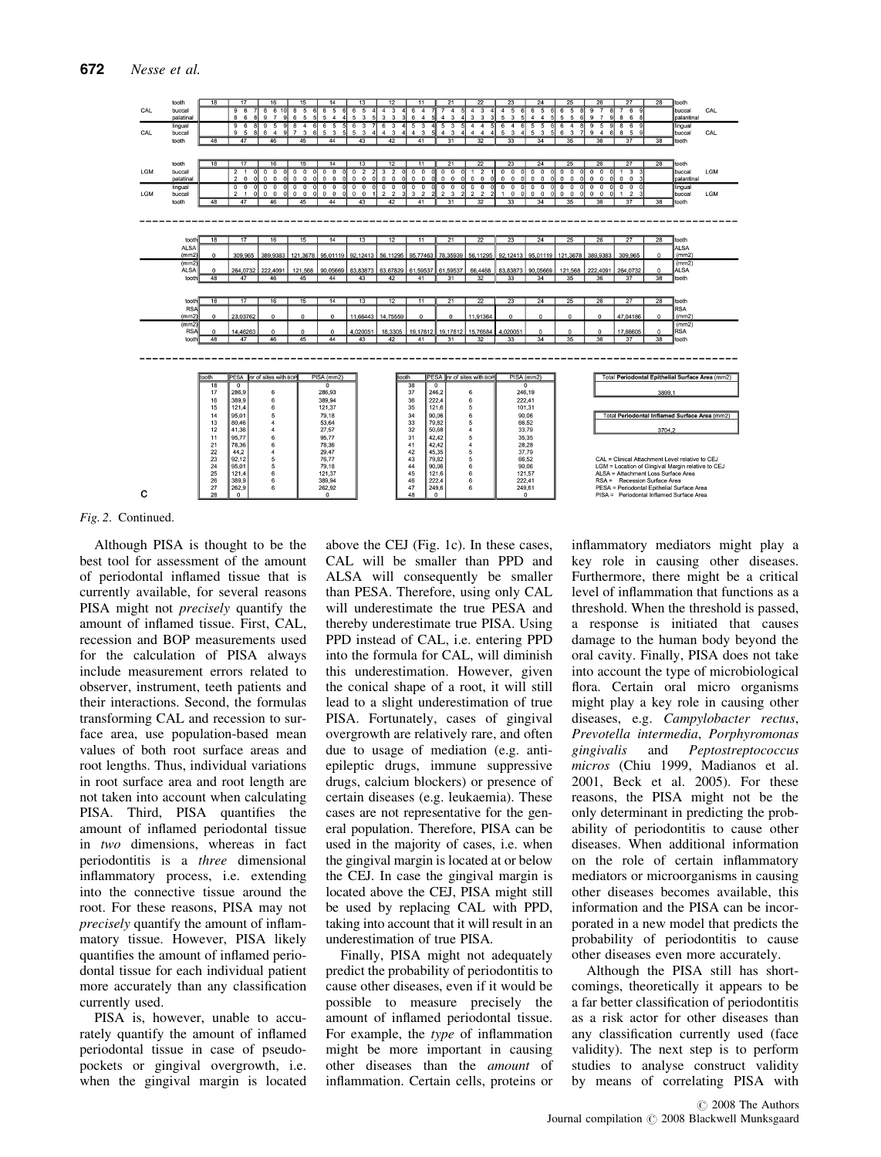

Fig. 2. Continued.

Although PISA is thought to be the best tool for assessment of the amount of periodontal inflamed tissue that is currently available, for several reasons PISA might not precisely quantify the amount of inflamed tissue. First, CAL, recession and BOP measurements used for the calculation of PISA always include measurement errors related to observer, instrument, teeth patients and their interactions. Second, the formulas transforming CAL and recession to surface area, use population-based mean values of both root surface areas and root lengths. Thus, individual variations in root surface area and root length are not taken into account when calculating PISA. Third, PISA quantifies the amount of inflamed periodontal tissue in two dimensions, whereas in fact periodontitis is a three dimensional inflammatory process, i.e. extending into the connective tissue around the root. For these reasons, PISA may not precisely quantify the amount of inflammatory tissue. However, PISA likely quantifies the amount of inflamed periodontal tissue for each individual patient more accurately than any classification currently used.

PISA is, however, unable to accurately quantify the amount of inflamed periodontal tissue in case of pseudopockets or gingival overgrowth, i.e. when the gingival margin is located above the CEJ (Fig. 1c). In these cases, CAL will be smaller than PPD and ALSA will consequently be smaller than PESA. Therefore, using only CAL will underestimate the true PESA and thereby underestimate true PISA. Using PPD instead of CAL, i.e. entering PPD into the formula for CAL, will diminish this underestimation. However, given the conical shape of a root, it will still lead to a slight underestimation of true PISA. Fortunately, cases of gingival overgrowth are relatively rare, and often due to usage of mediation (e.g. antiepileptic drugs, immune suppressive drugs, calcium blockers) or presence of certain diseases (e.g. leukaemia). These cases are not representative for the general population. Therefore, PISA can be used in the majority of cases, i.e. when the gingival margin is located at or below the CEJ. In case the gingival margin is located above the CEJ, PISA might still be used by replacing CAL with PPD, taking into account that it will result in an underestimation of true PISA.

Finally, PISA might not adequately predict the probability of periodontitis to cause other diseases, even if it would be possible to measure precisely the amount of inflamed periodontal tissue. For example, the type of inflammation might be more important in causing other diseases than the amount of inflammation. Certain cells, proteins or

inflammatory mediators might play a key role in causing other diseases. Furthermore, there might be a critical level of inflammation that functions as a threshold. When the threshold is passed, a response is initiated that causes damage to the human body beyond the oral cavity. Finally, PISA does not take into account the type of microbiological flora. Certain oral micro organisms might play a key role in causing other diseases, e.g. Campylobacter rectus, Prevotella intermedia, Porphyromonas gingivalis and Peptostreptococcus micros (Chiu 1999, Madianos et al. 2001, Beck et al. 2005). For these reasons, the PISA might not be the only determinant in predicting the probability of periodontitis to cause other diseases. When additional information on the role of certain inflammatory mediators or microorganisms in causing other diseases becomes available, this information and the PISA can be incorporated in a new model that predicts the probability of periodontitis to cause other diseases even more accurately.

Although the PISA still has shortcomings, theoretically it appears to be a far better classification of periodontitis as a risk actor for other diseases than any classification currently used (face validity). The next step is to perform studies to analyse construct validity by means of correlating PISA with